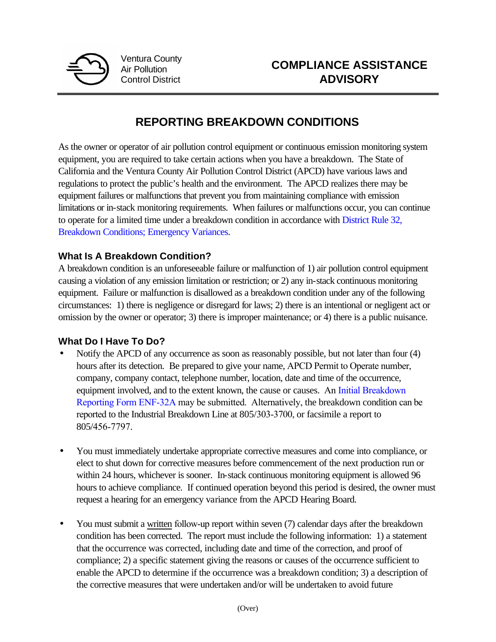

Ventura County Air Pollution Control District

## **REPORTING BREAKDOWN CONDITIONS**

As the owner or operator of air pollution control equipment or continuous emission monitoring system equipment, you are required to take certain actions when you have a breakdown. The State of California and the Ventura County Air Pollution Control District (APCD) have various laws and regulations to protect the public's health and the environment. The APCD realizes there may be equipment failures or malfunctions that prevent you from maintaining compliance with emission limitations or in-stack monitoring requirements. When failures or malfunctions occur, you can continue to operate for a limited time under a breakdown condition in accordance with [District Rule 32,](http://www.vcapcd.org/Rulebook/Reg2/RULE%2032.pdf) [Breakdown Conditions; Emergency Variances.](http://www.vcapcd.org/Rulebook/Reg2/RULE%2032.pdf)

## **What Is A Breakdown Condition?**

A breakdown condition is an unforeseeable failure or malfunction of 1) air pollution control equipment causing a violation of any emission limitation or restriction; or 2) any in-stack continuous monitoring equipment. Failure or malfunction is disallowed as a breakdown condition under any of the following circumstances: 1) there is negligence or disregard for laws; 2) there is an intentional or negligent act or omission by the owner or operator; 3) there is improper maintenance; or 4) there is a public nuisance.

## **What Do I Have To Do?**

- Notify the APCD of any occurrence as soon as reasonably possible, but not later than four (4) hours after its detection. Be prepared to give your name, APCD Permit to Operate number, company, company contact, telephone number, location, date and time of the occurrence, equipment involved, and to the extent known, the cause or causes. An Initial Breakdown [Reporting Form ENF-32A may be submitted.](http://www.vcapcd.org/pubs/Compliance/ENF32A-Breakdown-20210402-Fillable.pdf) Alternatively, the breakdown condition can be reported to the Industrial Breakdown Line at 805/303-3700, or facsimile a report to 805/456-7797.
- You must immediately undertake appropriate corrective measures and come into compliance, or elect to shut down for corrective measures before commencement of the next production run or within 24 hours, whichever is sooner. In-stack continuous monitoring equipment is allowed 96 hours to achieve compliance. If continued operation beyond this period is desired, the owner must request a hearing for an emergency variance from the APCD Hearing Board.
- You must submit a written follow-up report within seven (7) calendar days after the breakdown condition has been corrected. The report must include the following information: 1) a statement that the occurrence was corrected, including date and time of the correction, and proof of compliance; 2) a specific statement giving the reasons or causes of the occurrence sufficient to enable the APCD to determine if the occurrence was a breakdown condition; 3) a description of the corrective measures that were undertaken and/or will be undertaken to avoid future